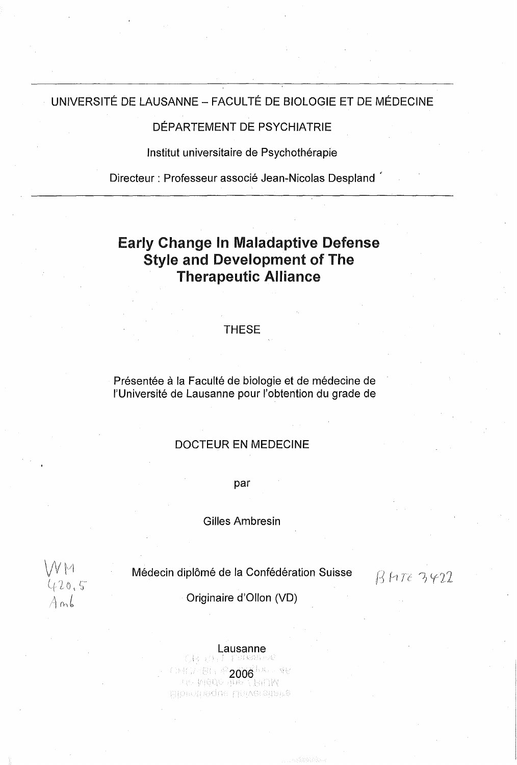## UNIVERSITÉ DE LAUSANNE - FACULTÉ DE BIOLOGIE ET DE MÉDECINE

## DÉPARTEMENT DE PSYCHIATRIE

Institut universitaire de Psychothérapie

Directeur : Professeur associé Jean-Nicolas Despland '

# Early Change ln Maladaptive Defense Style and Development of The Therapeutic Alliance

## **THESE**

Présentée à la Faculté de biologie et de médecine de l'Université de Lausanne pour l'obtention du grade de

## DOCTEUR EN MEDECINE

par

Gilles Ambresin

WM<br>420.5

Médecin diplômé de la Confédération Suisse

 $B H T \epsilon 3422$ 

## Originaire d'Ollon (VD)

## Lausanne

– † Sfedsta 2006.<br>2006. Prizident Maria S 작탄 **Pilophanisculus LUIVersiteine**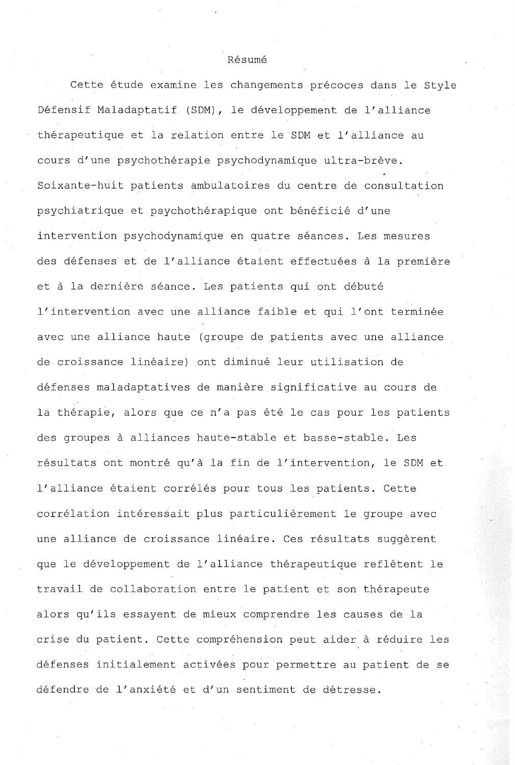#### Résumé

Cette étude examine les changements précoces dans le Style Défensif Maladaptatif (SDM), le développement de l'alliance thérapeutique et la relation entre le SDM et l'alliance au cours d'une psychothérapie psychodynamique ultra-brève. Soixante-huit patients ambulatoires du centre de consultation psychiatrique et psychothérapique ont bénéficié d'une intervention psychodynamique en quatre séances. Les mesures des défenses et de l'alliance étaient effectuées à la première et à la dernière séance. Les patients qui ont débuté l'intervention avec une alliance faible et qui l'ont terminée avec une alliance haute (groupe de patients avec une alliance de croissance linéaire) ont diminué leur utilisation de défenses maladaptatives de manière significative au cours de la thérapie, alors que ce n'a pas été le cas pour les patients des groupes à alliances haute-stable et basse-stable. Les résultats ont montré qu'à la fin de l'intervention, le SDM et l'alliance étaient corrélés pour tous les patients. Cette corrélation intéressait plus particulièrement le groupe avec une alliance de croissance linéaire. Ces résultats suggèrent que le développement de l'alliance thérapeutique reflètent le travail de collaboration entre le patient et son thérapeute alors qu'ils essayent de mieux comprendre les causes de la crise du patient. Cette compréhension peut aider à réduire les défenses initialement activées pour permettre au patient de se défendre de l'anxiété et d'un sentiment de détresse.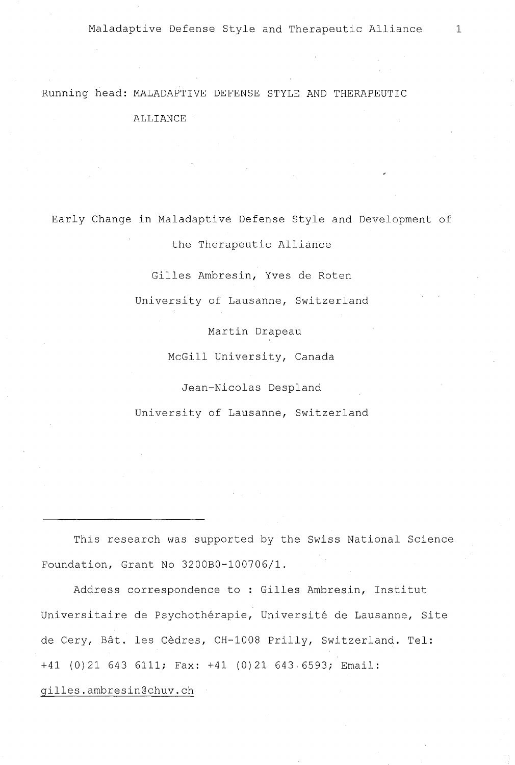## Running head: MALADAPTIVE DEFENSE STYLE AND THERAPEUTIC

#### ALLIANCE

Early Change in Maladaptive Defense Style and Development of

the Therapeutic Alliance

Gilles Ambresin, Yves de Roten

University of Lausanne, Switzerland

Martin Drapeau

McGill University, Canada

Jean-Nicolas Despland

University of Lausanne, Switzerland

This research was supported by the Swiss National Science Foundation, Grant No 320080-100706/1.

Address correspondence to : Gilles Ambresin, Institut Universitaire de Psychothérapie, Université de Lausanne, Site de Cery, Bât. les Cèdres, CH-1008 Prilly, Switzerland. Tel: +41 (0)21 643 **6111;** Fax: +41 (0)21 643 6593; Email: gilles.ambresin@chuv.ch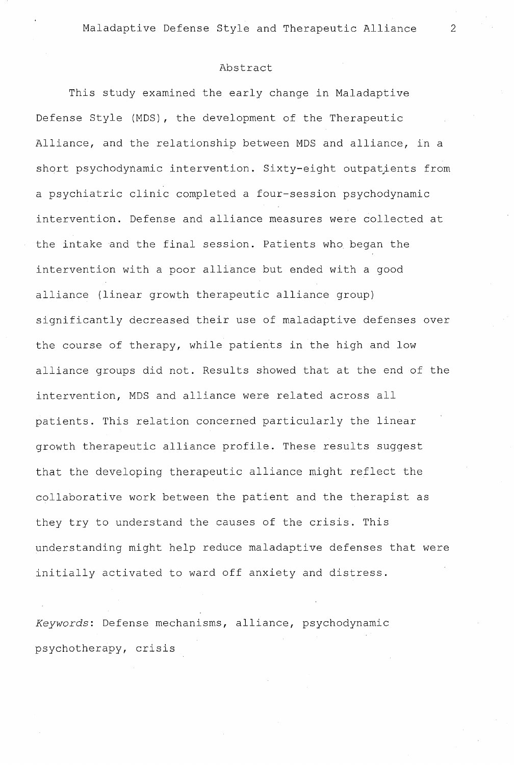#### Abstract

This study examined the early change in Maladaptive Defense Style (MDS), the development of the Therapeutic Alliance, and the relationship between MDS and alliance, in a short psychodynamic intervention. Sixty-eight outpatjents from a psychiatrie clinic completed a four-session psychodynamic intervention. Defense and alliance measures were collected at the intake and the final session. Patients who began the intervention with a poor alliance but ended with a good alliance (linear growth therapeutic alliance group) significantly decreased their use of maladaptive defenses over the course of therapy, while patients in the high and low alliance groups did not. Results showed that at the end of the intervention, MDS and alliance were related across all patients. This relation concerned particularly the linear growth therapeutic alliance profile. These results suggest that the developing therapeutic alliance might reflect the collaborative work between the patient and the therapist as they try to understand the causes of the crisis. This understanding might help reduce maladaptive defenses that were initially activated to ward off anxiety and distress.

*Keywords:* Defense mechanisms, alliance, psychodynamic psychotherapy, crisis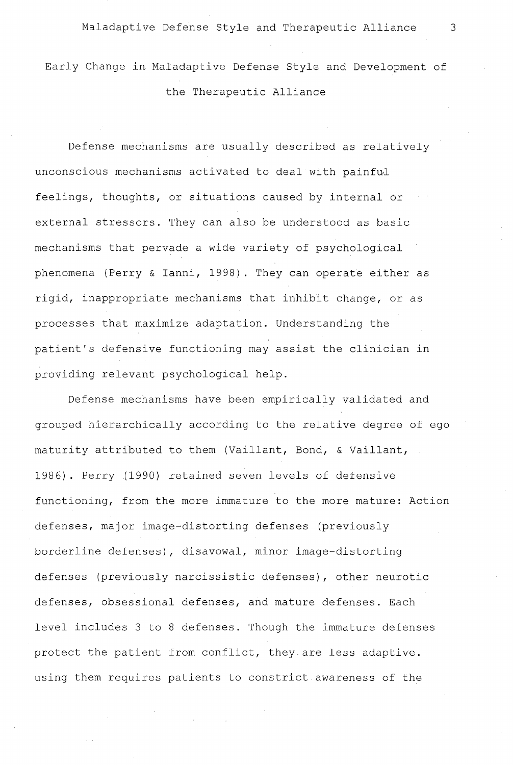Early Change in Maladaptive Defense Style and Development of the Therapeutic Alliance

Defense mechanisms are usually described as relatively unconscious mechanisms activated to deal with painful feelings, thoughts, or situations caused by internal or external stressors. They can also be understood as basic mechanisms that pervade a wide variety of psychological phenomena (Perry & Ianni, 1998). They can operate either as rigid, inappropriate mechanisms that inhibit change, or as processes that maximize adaptation. Understanding the patient's defensive functioning may assist the clinician in providing relevant psychological help.

Defense mechanisms have been empirically validated and grouped hierarchically according to the relative degree of ego maturity attributed to them (Vaillant, Bond, & Vaillant, 1986) . Perry (1990) retained seven levels of defensive functioning, from the more immature to the more mature: Action defenses, major image-distorting defenses (previously borderline defenses), disavowal, minor image-distorting defenses (previously narcissistic defenses), other neurotic defenses, obsessional defenses, and mature defenses. Each level includes 3 to 8 defenses. Though the immature defenses protect the patient from conflict, they are less adaptive. using them requires patients to constrict awareness of the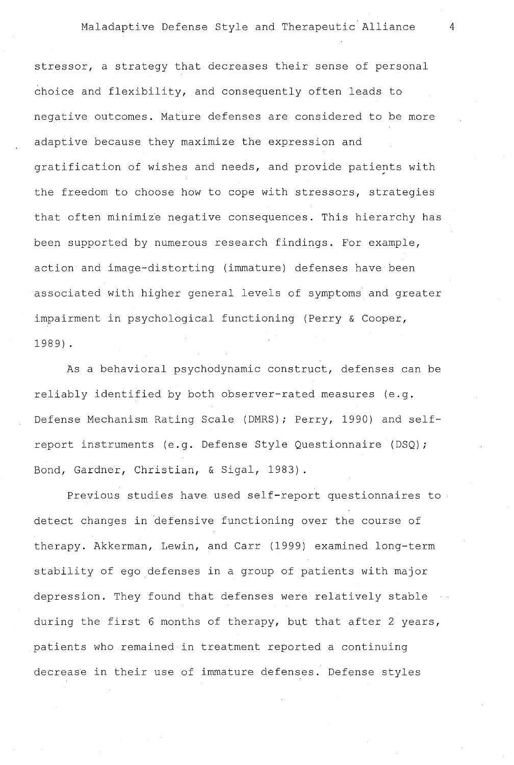stressor, a strategy that decreases their sense of personal choice and flexibility, and consequently often leads to negative outcomes. Mature defenses are considered to be more adaptive because they maximize the expression and gratification of wishes and needs, and provide patients with the freedom to choose how to cope with stressors, strategies that often minimize negative consequences. This hierarchy has been supported by numerous research findings. For example, action and image-distorting (immature) defenses have been associated with higher general levels of symptoms and greater impairment in psychological functioning (Perry & Cooper, 1989) .

As a behavioral psychodynamic construct, defenses can be reliably identified by both observer-rated measures (e.g. Defense Mechanism Rating Scale (DMRS); Perry, 1990) and selfreport instruments (e.g. Defense Style Questionnaire (DSQ); Bond, Gardner, Christian, & Sigal, 1983).

Previous studies have used self-report questionnaires to detect changes in defensive functioning over the course of therapy. Akkerman, Lewin, and Carr (1999) examined long-term stability of ego defenses in a group of patients with major depression. They found that defenses were relatively stable during the first 6 months of therapy, but that after 2 years, patients who remained in treatment reported a continuing decrease in their use of immature defenses. Defense styles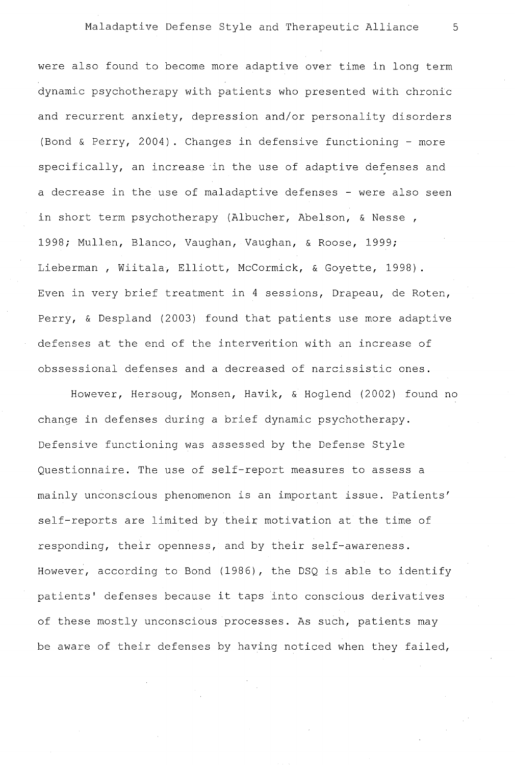were also found to become more adaptive over time in long term dynamic psychotherapy with patients who presented with chronic and recurrent anxiety, depression and/or personality disorders (Bond & Perry, 2004). Changes in defensive functioning - more specifically, an increase in the use of adaptive defenses and a decrease in the use of maladaptive defenses - were also seen in short term psychotherapy (Albucher, Abelson, & Nesse , 1998; Mullen, Blanco, Vaughan, Vaughan, & Roose, 1999; Lieberman, Wiitala, Elliott, McCormick, & Goyette, 1998). Even in very brief treatment in 4 sessions, Drapeau, de Roten, Perry, & Despland (2003) found that patients use more adaptive defenses at the end of the intervention with an increase of obssessional defenses and a decreased of narcissistic ones.

However, Hersoug, Monsen, Havik, & Hoglend (2002) found no change in defenses during a brief dynamic psychotherapy. Defensive functioning was assessed by the Defense Style Questionnaire. The use of self-report measures to assess a mainly unconscious phenomenon is an important issue. Patients' self-reports are limited by their motivation at the time of responding, their openness, and by their self-awareness. However, according to Bond (1986), the DSQ is able to identify patients' defenses because it taps into conscious derivatives of these mostly unconscious processes. As such, patients may be aware of their defenses by having noticed when they failed,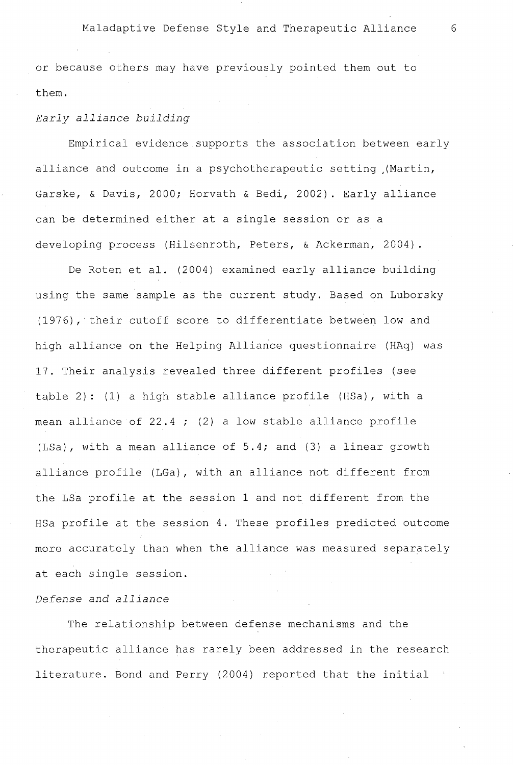or because others may have previously pointed them out to them.

## *Early alliance building*

Empirical evidence supports the association between early alliance and outcome in a psychotherapeutic setting ,(Martin, Garske, & Davis, 2000; Horvath & Bedi, 2002). Early alliance can be determined either at a single session or as a developing process (Hilsenroth, Peters, & Ackerman, 2004).

De Roten et al. (2004) examined early alliance building using the same sample as the current study. Based on Luborsky (1976), their cutoff score to differentiate between low and high alliance on the Helping Alliance questionnaire (HAq) was 17. Their analysis revealed three different profiles (see table 2): (1) a high stable alliance profile (HSa), with a mean alliance of 22.4 ; (2) a low stable alliance profile (LSa), with a mean alliance of 5.4; and (3) a linear growth alliance profile (LGa), with an alliance not different from the LSa profile at the session 1 and not different from the HSa profile at the session 4. These profiles predicted outcome more accurately than when the alliance was measured separately at each single session.

## *Defense and alliance*

The relationship between defense mechanisms and the therapeutic alliance has rarely been addressed in the research literature. Bond and Perry (2004) reported that the initial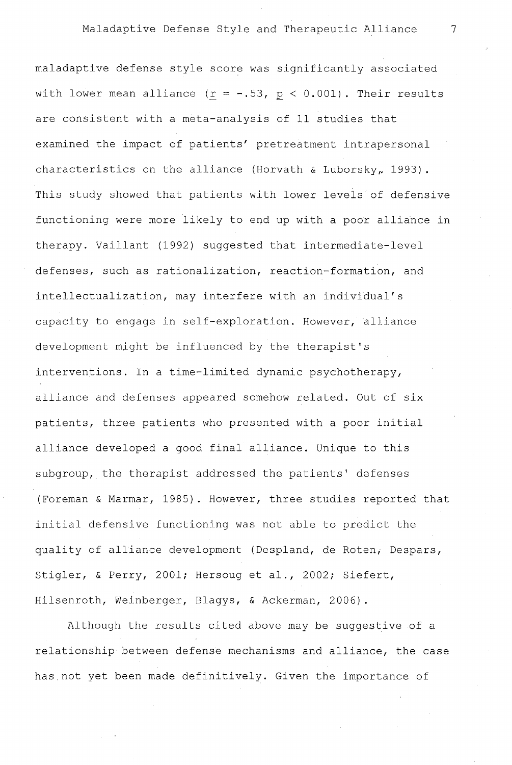maladaptive defense style score was significantly associated with lower mean alliance  $(r = -.53, p < 0.001)$ . Their results are consistent with a meta-analysis of 11 studies that examined the impact of patients' pretreatment intrapersonal characteristics on the alliance (Horvath & Luborsky, 1993). This study showed that patients with lower levels of defensive functioning were more likely to end up with a poor alliance in therapy. Vaillant (1992) suggested that intermediate-level defenses, such as rationalization, reaction-formation, and intellectualization, may interfere with an individual's capacity to engage in self-exploration. However, alliance development might be influenced by the therapist's interventions. In a time-limited dynamic psychotherapy, alliance and defenses appeared somehow related. Out of six patients, three patients who presented with a poor initial alliance developed a good final alliance. Unique to this subgroup, the therapist addressed the patients' defenses (Foreman & Marmar, 1985). However, three studies reported that initial defensive functioning was not able to predict the quality of alliance development (Despland, de Roten, Despars, Stigler, & Perry, 2001; Hersoug et al., 2002; Siefert, Hilsenroth, Weinberger, Blagys, & Ackerman, 2006).

Although the results cited above may be suggestive of a relationship between defense mechanisms and alliance, the case has.not yet been made definitively. Given the importance of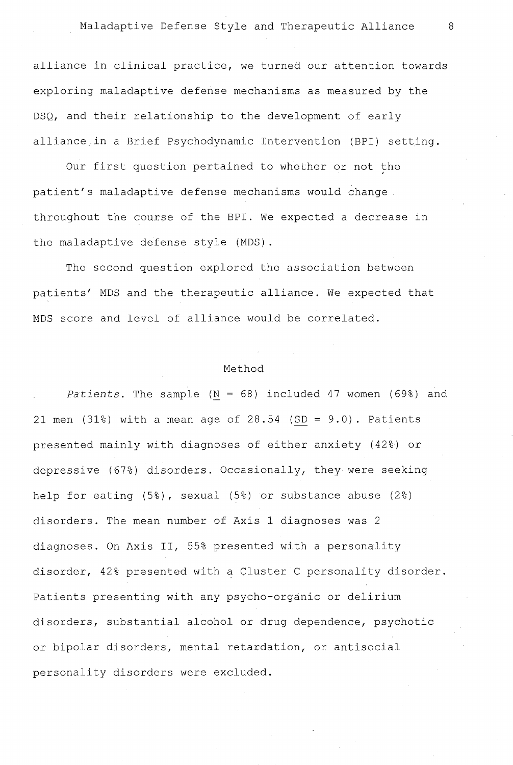alliance in clinical practice, we turned our attention towards exploring maladaptive defense mechanisms as measured by the DSQ, and their relationship to the development of early alliance.in a Brief Psychodynamic Intervention (BPI) setting.

Our first question pertained to whether or not the patient's maladaptive defense mechanisms would change throughout the course of the BPI. We expected a decrease in the maladaptive defense style (MDS).

The second question explored the association between patients' MDS and the therapeutic alliance. We expected that MDS score and level of alliance would be correlated.

#### Method

*Patients*. The sample  $(N = 68)$  included 47 women (69%) and 21 men (31%) with a mean age of  $28.54$  (SD =  $9.0$ ). Patients presented mainly with diagnoses of either anxiety (42%) or depressive (67%) disorders. Occasionally, they were seeking help for eating (5%), sexual (5%) or substance abuse (2%) disorders. The mean number of Axis 1 diagnoses was 2 diagnoses. On Axis II, 55% presented with a personality disorder, 42% presented with a Cluster C personality disorder. Patients presenting with any psycho-organic or delirium disorders, substantial alcohol or drug dependence, psychotic or bipolar disorders, mental retardation, or antisocial personality disorders were excluded.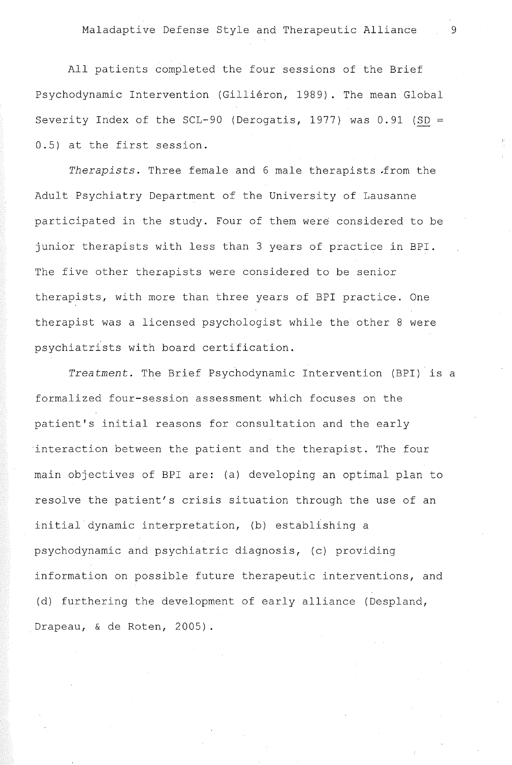All patients completed the four sessions of the Brief Psychodynamic Intervention (Gilliéron, 1989). The mean Global Severity Index of the SCL-90 (Derogatis, 1977) was  $0.91$  (SD = 0.5) at the first session.

*Therapists.* Three female and 6 male therapists .from the Adult Psychiatry Department of the University of Lausanne participated in the study. Four of them were considered to be junior therapists with less than 3 years of practice in BPI. The five other therapists were considered to be senior therapists, with more than three years of BPI practice. One therapist was a licensed psychologist while the other 8 were psychiatrists with board certification.

*Treatment.* The Brief Psychodynamic Intervention (BPI) is a formalized four-session assessment which focuses on the patient's initial reasons for consultation and the early interaction between the patient and the therapist. The four main objectives of BPI are: (a) developing an optimal plan to resolve the patient's crisis situation through the use of an initial dynamic interpretation, (b) establishing a psychodynamic and psychiatrie diagnosis, (c) providing information on possible future therapeutic interventions, and (d) furthering the development of early alliance (Despland, Drapeau, & de Roten, 2005).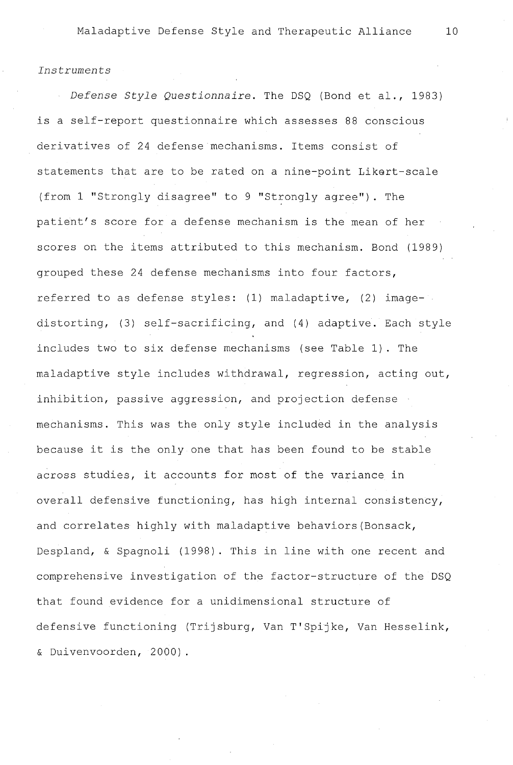#### *Instruments*

*Defense Style Questionnaire.* The DSQ (Bond et al., 1983) is a self-report questionnaire which assesses 88 conscious derivatives of 24 defense mechanisms. Items consist of statements that are to be rated on a nine-point Likert-scale (from 1 "Strongly disagree" to 9 "Strongly agree"). The patient's score for a defense mechanism is the mean of her scores on the items attributed to this mechanism. Bond (1989) grouped these 24 defense mechanisms into four factors, referred to as defense styles: (1) maladaptive, (2) imagedistorting, (3) self-sacrificing, and (4) adaptive. Each style includes two to six defense mechanisms (see Table 1). The maladaptive style includes withdrawal, regression, acting out, inhibition, passive aggression, and projection defense mechanisms. This was the only style included in the analysis because it is the only one that has been found to be stable across studies, it accounts for most of the variance in overall defensive functioning, has high internal consistency, and correlates highly with maladaptive behaviors(Bonsack, Despland, & Spagnoli (1998). This in line with one recent and comprehensive investigation of the factor-structure of the DSQ that found evidence for a unidimensional structure of defensive functioning (Trijsburg, Van T'Spijke, Van Hesselink, & Duivenvoorden, 2000)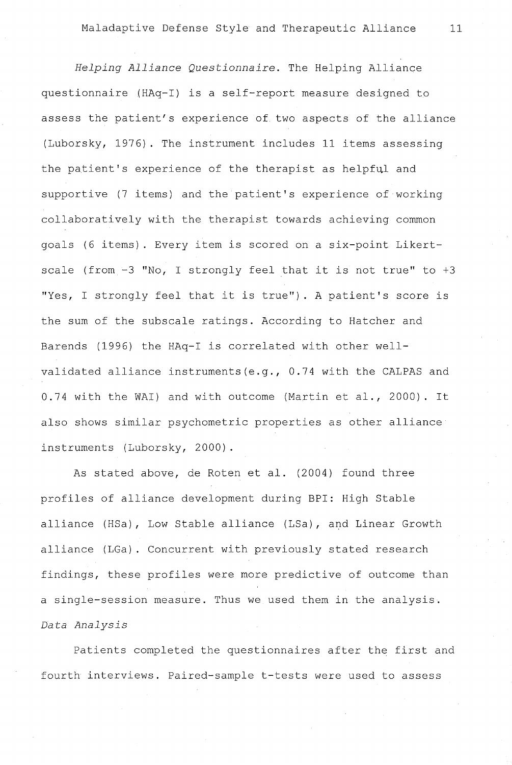*Helping Alliance Questionnaire.* The Helping Alliance questionnaire (HAq-I) is a self-report measure designed to assess the patient's experience of two aspects of the alliance (Luborsky, 1976). The instrument includes 11 items assessing the patient's experience of the therapist as helpful and supportive (7 items) and the patient's experience of working collaboratively with the therapist towards achieving common goals (6 items). Every item is scored on a six-point Likertscale (from -3 "No, I strongly feel that it is not true" to +3 "Yes, I strongly feel that it is true"). A patient's score is the sum of the subscale ratings. According to Hatcher and Barends (1996) the HAq-I is correlated with other wellvalidated alliance instruments(e.g., 0.74 with the CALPAS and 0.74 with the WAI) and with outcome (Martin et al., 2000). It also shows similar psychometric properties as other alliance instruments (Luborsky, 2000).

As stated above, de Roten et al. (2004) found three profiles of alliance development during BPI: High Stable alliance (HSa), Low Stable alliance (LSa), and Linear Growth alliance (LGa). Concurrent with previously stated research findings, these profiles were more predictive of outcome than a single-session measure. Thus we used them in the analysis. *Data Analysis* 

Patients completed the questionnaires after the first and fourth interviews. Paired-sample t-tests were used to assess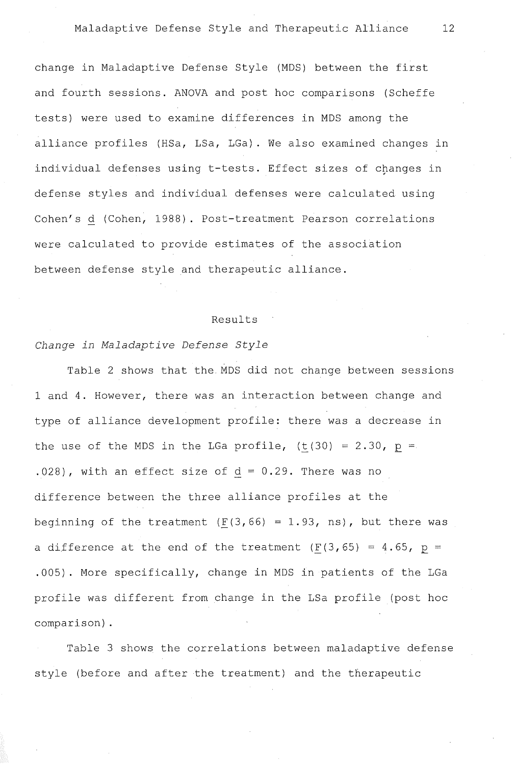change in Maladaptive Defense Style (MDS) between the first and fourth sessions. ANOVA and post hoc comparisons (Scheffe tests) were used to examine differences in MDS among the alliance profiles (HSa, LSa, LGa) . We also examined changes in individual defenses using t-tests. Effect sizes of changes in defense styles and individual defenses were calculated using Cohen's d (Cohen, 1988). Post-treatment Pearson correlations were calculated to provide estimates of the association between defense style and therapeutic alliance.

#### Results

## *Change in Maladaptive Defense Style*

Table 2 shows that the MDS did not change between sessions 1 and 4. However, there was an interaction between change and type of alliance development profile: there was a decrease in the use of the MDS in the LGa profile,  $(t(30) = 2.30$ , p = .028), with an effect size of  $d = 0.29$ . There was no difference between the three alliance profiles at the beginning of the treatment ( $\underline{F}(3,66) = 1.93$ , ns), but there was a difference at the end of the treatment  $(F(3, 65) = 4.65, p =$ .005). More specifically, change in MDS in patients of the LGa profile was different from change in the LSa profile (post hoc comparison) .

Table 3 shows the correlations between maladaptive defense style (before and after the treatment) and the therapeutic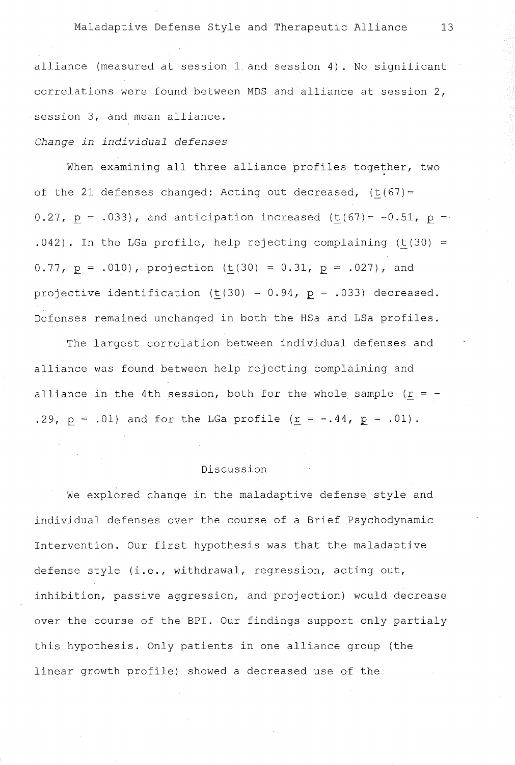alliance (measured at session 1 and session 4). No significant correlations were found between MDS and alliance at session 2, session 3, and mean alliance.

## *Change in individual defenses*

When examining all three alliance profiles together, two of the 21 defenses changed: Acting out decreased,  $(t(67))$  = 0.27,  $p = .033$ ), and anticipation increased (t(67)= -0.51,  $p =$  $.042)$ . In the LGa profile, help rejecting complaining (t(30) = 0.77,  $p = .010$ , projection (t(30) = 0.31,  $p = .027$ ), and projective identification  $(t(30) = 0.94$ ,  $p = .033)$  decreased. Defenses remained unchanged in both the HSa and LSa profiles.

The largest correlation between individual defenses and alliance was found between help rejecting complaining and alliance in the 4th session, both for the whole sample ( $r = -$ .29,  $p = .01$ ) and for the LGa profile  $(r = -.44, p = .01)$ .

#### Discussion

We explored change in the maladaptive defense style and individual defenses over the course of a Brief Psychodynamic Intervention. Our first hypothesis was that the maladaptive defense style (i.e., withdrawal, regression, acting out, inhibition, passive aggression, and projection) would decrease over the course of the BPI. Our findings support only partialy this hypothesis. Only patients in one alliance group (the linear growth profile) showed a decreased use of the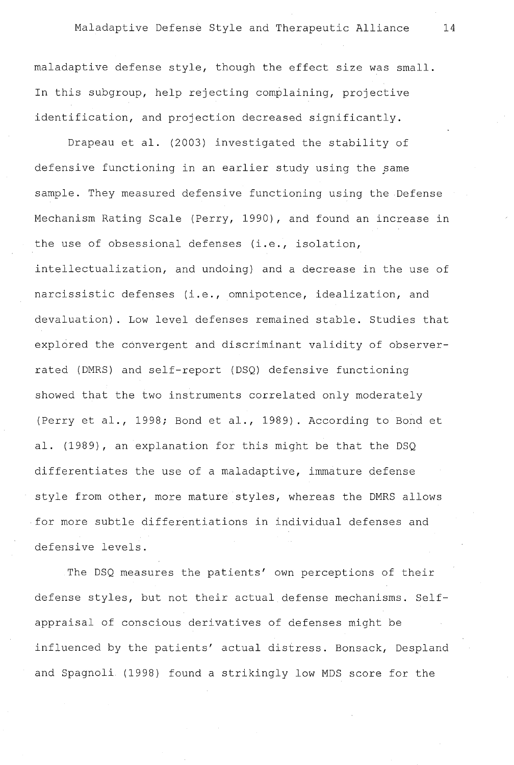maladaptive defense style, though the effect size was small. In this subgroup, help rejecting complaining, projective identification, and projection decreased significantly.

Drapeau et al. (2003) investigated the stability of defensive functioning in an earlier study using the same sample. They measured defensive functioning using the Defense Mechanism Rating Scale (Perry, 1990), and found an increase in the use of obsessional defenses (i.e., isolation, intellectualization, and undoing) and a decrease in the use of narcissistic defenses (i.e., omnipotence, idealization, and devaluation). Low level defenses remained stable. Studies that explored the convergent and discriminant validity of observerrated (DMRS) and self-report (DSQ) defensive functioning showed that the two instruments correlated only moderately (Perry et al., 1998; Bond et al., 1989). According to Bond et al. (1989), an explanation for this might be that the DSQ differentiates the use of a maladaptive, immature defense style from other, more mature styles, whereas the DMRS allows for more subtle differentiations in individual defenses and defensive levels.

The DSQ measures the patients' own perceptions of their defense styles, but not their actual defense mechanisms. Selfappraisal of conscious derivatives of defenses might be influenced by the patients' actual distress. Bonsack, Despland and Spagnoli (1998) found a strikingly low MDS score for the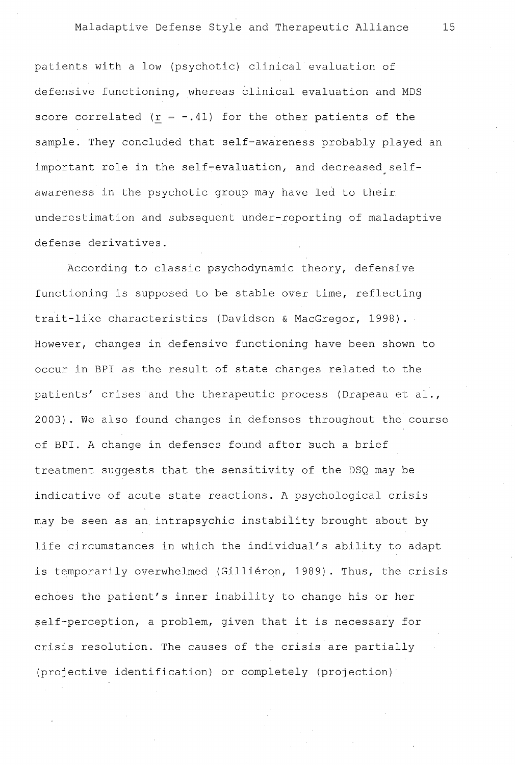patients with a low (psychotic) clinical evaluation of defensive functioning, whereas èlinical evaluation and MDS score correlated  $(r = -.41)$  for the other patients of the sample. They concluded that self-awareness probably played an important role in the self-evaluation, and decreased selfawareness in the psychotic group may have led to their underestimation and subsequent under-reporting of maladaptive defense derivatives.

According to classic psychodynamic theory, defensive functioning is supposed to be stable over time, reflecting trait-like characteristics (Davidson & MacGregor, 1998). However, changes in defensive functioning have been shown to occur in BPI as the result of state changes related to the patients' crises and the therapeutic process (Drapeau et al., 2003) . We also found changes in. defenses throughout the course of BPI. A change in defenses found after such a brief treatment suggests that the sensitivity of the DSQ may be indicative of acute state reactions. A psychological crisis may be seen as an intrapsychic instability brought about by life circumstances in which the individual's ability to adapt is temporarily overwhelmed (Gilliéron, 1989). Thus, the crisis echoes the patient's inner inability to change his or her self-perception, a problem, given that it is necessary for crisis resolution. The causes of the crisis are partially (projective identification) or completely (projection)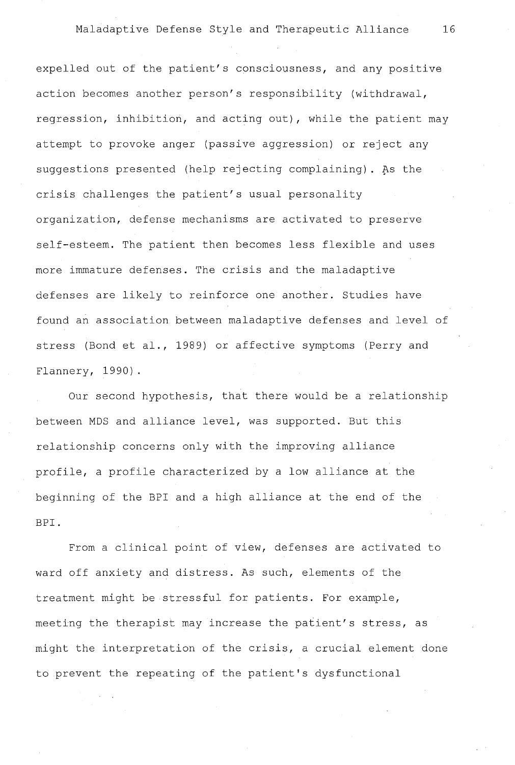expelled out of the patient's consciousness, and any positive action becomes another person's responsibility (withdrawal, regression, inhibition, and acting out), while the patient may attempt to provoke anger (passive aggression) or reject any suggestions presented (help rejecting complaining). As the crisis challenges the patient's usual personality organization, defense mechanisms are activated to preserve self-esteem. The patient then becomes less flexible and uses more immature defenses. The crisis and the maladaptive defenses are likely to reinforce one another. Studies have found an association between maladaptive defenses and level of stress (Bond et al., 1989) or affective symptoms (Perry and Flannery, 1990).

Our second hypothesis, that there would be a relationship between MDS and alliance level, was supported. But this relationship concerns only with the improving alliance profile, a profile characterized by a low alliance at the beginning of the BPI and a high alliance at the end of the BPI.

From a clinical point of view, defenses are activated to ward off anxiety and distress. As such, elements of the treatment might be stressful for patients. For example, meeting the therapist may increase the patient's stress, as might the interpretation of the crisis, a crucial element done to prevent the repeating of the patient's dysfunctional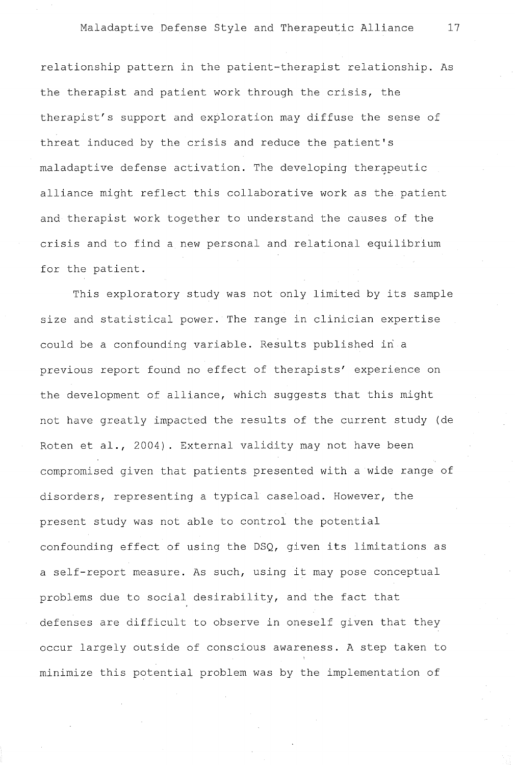relationship pattern in the patient-therapist relationship. As the therapist and patient work through the crisis, the therapist's support and exploration may diffuse the sense of threat induced by the crisis and reduce the patient's maladaptive defense activation. The developing therapeutic alliance might reflect this collaborative work as the patient and therapist work together to understand the causes of the crisis and to find a new personal and relational equilibrium for the patient.

This exploratory study was not only limited by its sample size and statistical power. The range in clinician expertise could be a confounding variable. Results published in a previous report found no effect of therapists' experience on the development of alliance, which suggests that this might not have greatly impacted the results of the current study (de Roten et al., 2004). External validity may not have been compromised given that patients presented with a wide range of disorders, representing a typical caseload. However, the present study was not able to control the potential confounding effect of using the DSQ, given its limitations as a self-report measure. As such, using it may pose conceptual problems due to social desirability, and the fact that defenses are difficult to observe in oneself given that they occur largely outside of conscious awareness. A step taken to minimize this potential problem was by the implementation of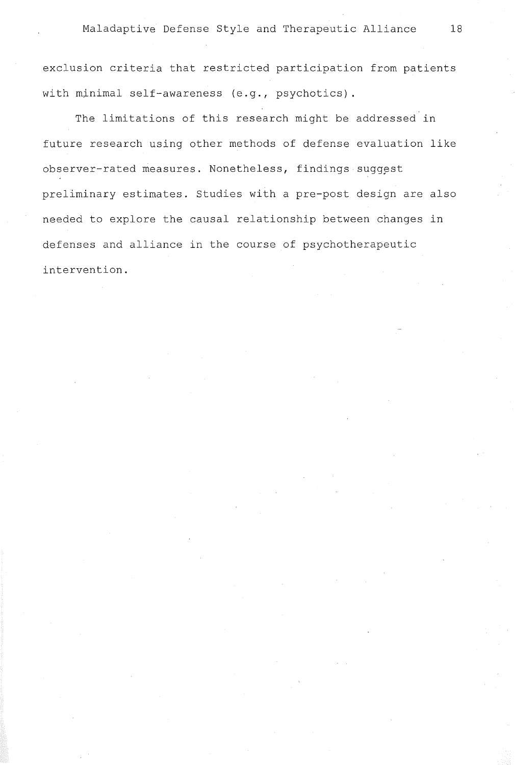exclusion criteria that restricted participation from patients with minimal self-awareness (e.g., psychotics).

The limitations of this research might be addressed in future research using other methods of defense evaluation like observer-rated measures. Nonetheless, findings suggest preliminary estimates. Studies with a pre-post design are also needed to explore the causal relationship between changes in defenses and alliance in the course of psychotherapeutic intervention.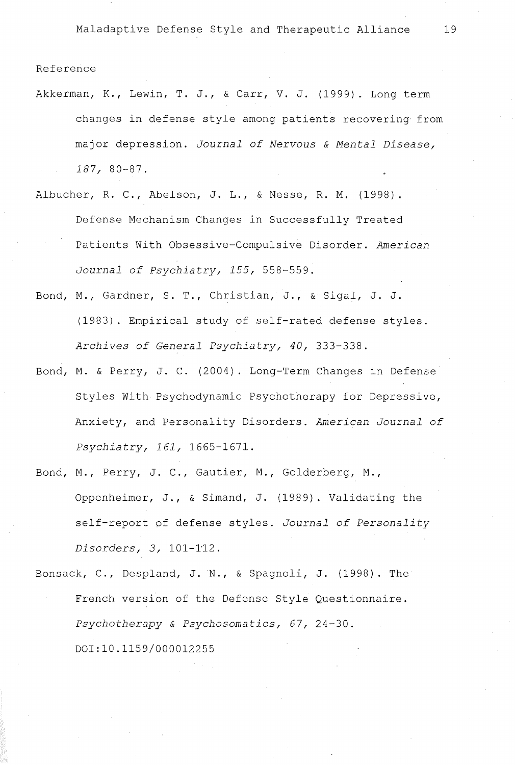#### Reference

- Akkerman, K., Lewin, T. J., & Carr, V. J. (1999). Long term changes in defense style among patients recovering from major depression. *Journal of Nervous* & *Mental Disease, 187,* 80-87.
- Albucher, R. C., Abelson, J. L., & Nesse, R. M. (1998). Defense Mechanism Changes in Successfully Treated Patients With Obsessive-Compulsive Disorder. *American Journal of Psychiatry, 155,* 558-559.
- Bond, M., Gardner, S. T., Christian, J., & Sigal, J. J. (1983). Empirical study of self-rated defense styles. *Archives of General Psychiatry, 40,* 333-338.
- Bond, M. & Perry, J. C. (2004). Long-Term Changes in Defense Styles With Psychodynamic Psychotherapy for Depressive, Anxiety, and Personality Disorders. *American Journal of Psychiatry, 161,* 1665-1671.
- Bond, M., Perry, J. C., Gautier, M., Golderberg, M., Oppenheimer, J., & Simand, J. (1989). Validating the self-report of defense styles. *Journal of Personality Disorders, 3,* 101-1'12.
- Bonsack, C., Despland, J. N., & Spagnoli, J. (1998). The French version of the Defense Style Questionnaire. *Psychotherapy* & *Psychosomatics, 67,* 24-30. 001:10.1159/000012255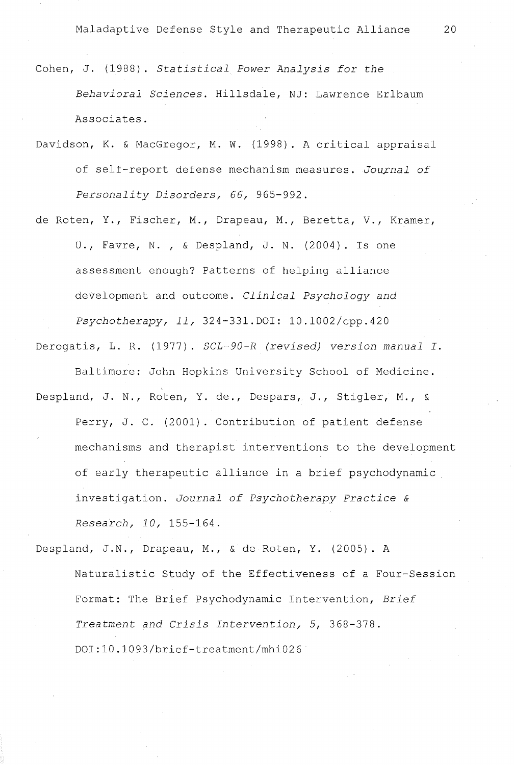Cohen, J. (1988). *Statistical Power Analysis for the Behavioral Sciences.* Hillsdale, NJ: Lawrence Erlbaum Associates.

Davidson, K. & MacGregor, M. W. (1998). A critical appraisal of self-report defense mechanism measures. Journal of Personality Disorders, 66, 965-992.

de Roten, Y., Fischer, M., Drapeau, M., Beretta, V., Kramer, U., Favre, N., & Despland, J. N. (2004). Is one assessment enough? Patterns of helping alliance development and outcome. *Clinical Psychology and Psychotherapyr llr* 324-331.DOI: 10.1002/cpp.420

Derogatis, L. R. (1977). *SCL-90-R (revised) version manual I.* 

Baltimore: John Hopkins University School of Medicine.

Despland, J. N., Roten, Y. de., Despars, J., Stigler, M., & Perry, J. C. (2001). Contribution of patient defense mechanisms and therapist interventions to the development of early therapeutic alliance in a brief psychodynamic investigation. *Journal of Psychotherapy Practice* & *Researchr lOr* 155-164.

Despland, J.N., Drapeau, M., & de Roten, Y. (2005). A Naturalistic Study of the Effectiveness of a Four-Session Format: The Brief Psychodynamic Intervention, *Brief*  Treatment and Crisis Intervention, 5, 368-378. DOI:10.1093/brief-treatment/mhi026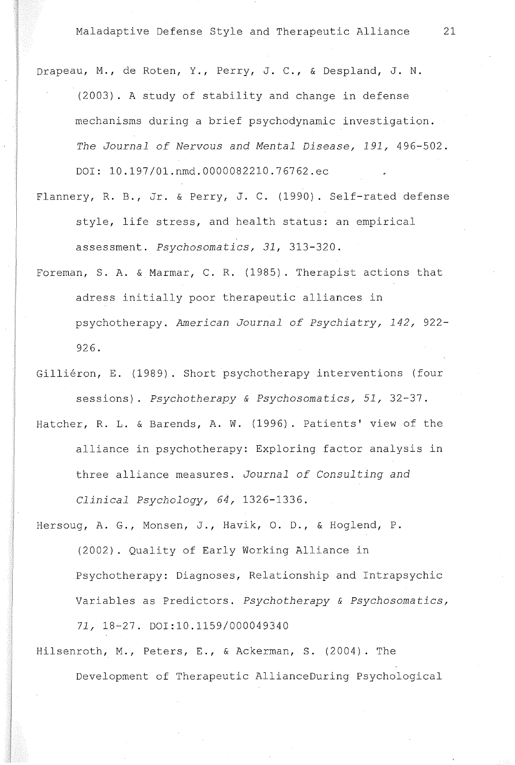- Drapeau, M., de Roten, Y., Perry, J. C., & Despland, J. N. (2003). A study of stability and change in defense mechanisms during a brief psychodynamic investigation. *The Journal of Nervous and Mental Disease, 191,* 496-502. DOI: 10.197/01.nmd.0000082210.76762.ec
- Flannery, R. B., Jr. & Perry, J. C. (1990). Self-rated defense style, life stress, and health status: an empirical assessment. *Psychosomatics, 31,* 313-320.
- Foreman, S. A. & Marmar, C. R. (1985). Therapist actions that adress initially poor therapeutic alliances in psychotherapy. *American Journal of Psychiatry, 142,* 922- 926.
- Gilliéron, E. (1989). Short psychotherapy interventions (four sessions). *Psychotherapy* & *Psychosomatics, 51,* 32-37.
- Hatcher, R. L. & Barends, A. W. (1996). Patients' view of the alliance in psychotherapy: Exploring factor analysis in three alliance measures. *Journal of Consulting and Clinical Psychology, 64,* 1326-1336.
- Hersoug, A. G., Monsen, J., Havik, O. D., & Hoglend, P. (2002). Quality of Early Working Alliance in Psychotherapy: Diagnoses, Relationship and Intrapsychic Variables as Predictors. *Psychotherapy* & *Psychosomatics, 71,* 18-27. DOI:l0.1159/000049340
- Hilsenroth, M., Peters, E., & Ackerman, S. (2004). The Development of Therapeutic AllianceDuring Psychological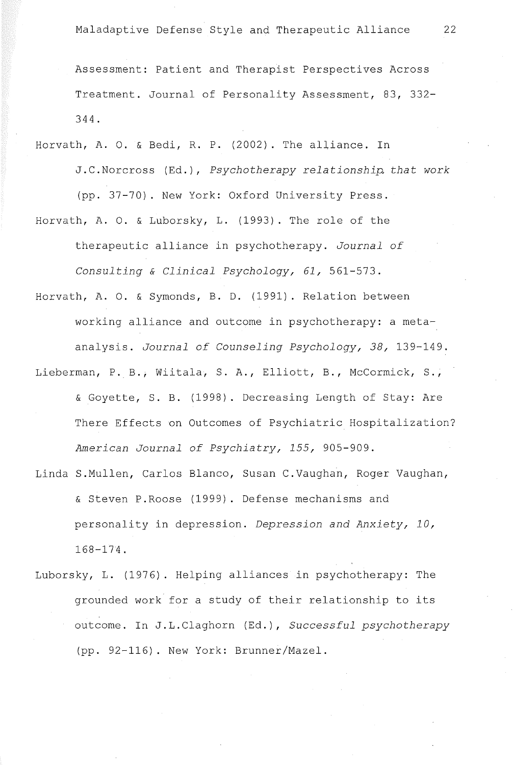Assessment: Patient and Therapist Perspectives Across Treatment. Journal of Personality Assessment, 83, 332- 344.

- Horvath, A. O. & Bedi, R. P. (2002). The alliance. In J.C.Norcross (Ed.), *Psychotherapy relationship. that work* (pp. 37-70). New York: Oxford University Press.
- Horvath, A. O. & Luborsky, L. (1993). The role of the therapeutic alliance in psychotherapy. *Journal of Consulting* & *Clinical Psychology, 61,* 561-573.
- Horvath, A. O. & Symonds, B. D. (1991). Relation between working alliance and outcome in psychotherapy: a metaanalysis. *Journal of Counseling Psychology, 38,* 139-149.
- Lieberman, P. B., Wiitala, S. A., Elliott, B., McCormick, S., & Goyette, S. B. (1998). Decreasing Length of Stay: Are There Effects on Outcomes of Psychiatrie Hospitalization? *American Journal of Psychiatry, 155,* 905-909.
- Linda S.Mullen, Carlos Blanco, Susan C.Vaughan, Roger Vaughan, & Steven P.Roose (1999). Defense mechanisms and personality in depression. *Depression and Anxiety, 10,*  168-174.
- Luborsky, L. (1976). Helping alliances in psychotherapy: The grounded work for a study of their relationship to its outcome. In J.L.Claghorn (Ed.), *Successful psychotherapy*  (pp. 92-116). New York: Brunner/Mazel.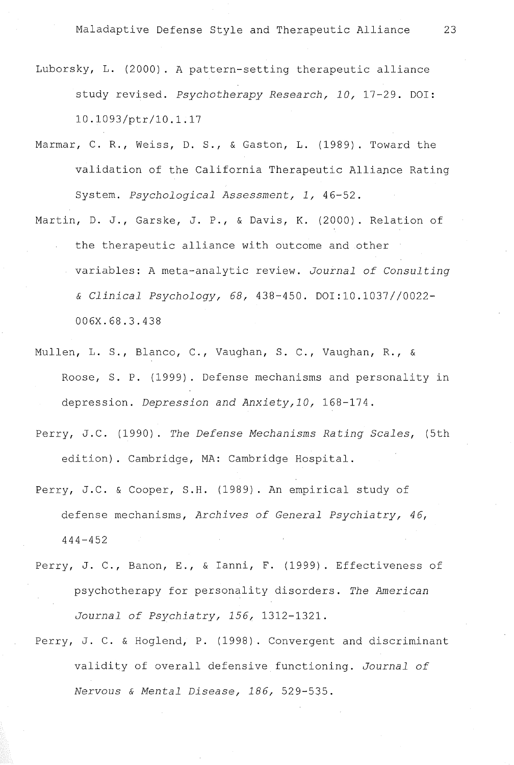- Luborsky, L. (2000). A pattern-setting therapeutic alliance study revised. *Psychotherapy Research, 10,* 17-29. DOI: 10.1093/ptr/10.1.17
- Marmar, C. R., Weiss, D. S., & Gaston, L. (1989). Toward the validation of the California Therapeutic Alliance Rating System. *Psychological Assessment, 1,* 46-52.
- Martin, O. J., Garske, J. P., & Davis, K. (2000). Relation of the therapeutic alliance with outcome and other variables: A meta-analytic review. *Journal of Consulting*  & *Clinical Psychology, 68,* 438-450. DOI:l0.1037//0022- 006X.68.3.438
- Mullen, L. S., Blanco, C., Vaughan, S. C., Vaughan, R., & Roose, S. P. (1999). Defense mechanisms and personality in depression. *Depression and Anxiety,10,* 168-174.
- Perry, J.C. (1990). *The Defense Mechanisms Rating Scales,* (5th edition). Cambridge, MA: Cambridge Hospital.
- Perry, J.C. & Cooper, S.H. (1989). An empirical study of defense mechanisms, *Archives of General Psychiatry, 46,*  444-452
- Perry, J. C., Banon, E., & Ianni, F. (1999). Effectiveness of psychotherapy for personality disorders. *The American Journal of Psychiatry, 156,* 1312-1321.
- Perry, J. C. & Hoglend, P. (1998). Convergent and discriminant validity of overall defensive functioning. *Journal of Nervous* & *Mental Disease, 186,* 529-535.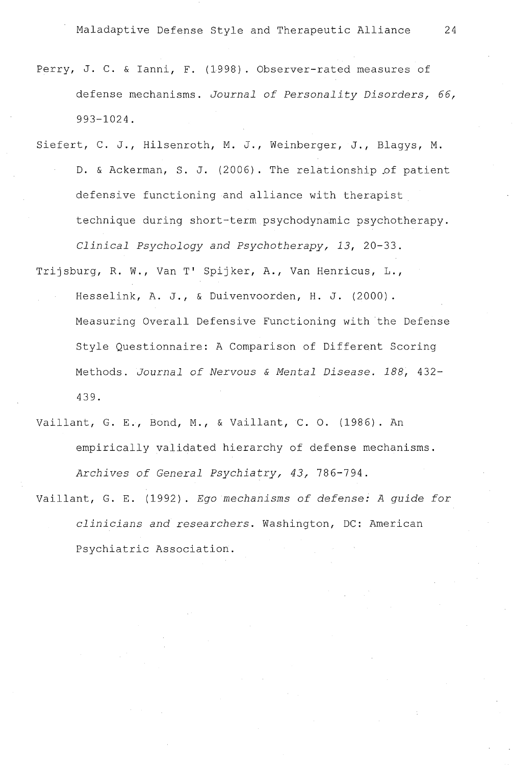- Perry, J. C. & Ianni, F. (1998). Observer-rated measures of defense mechanisms. *Journal of Personality Disorders, 66,* 993-1024.
- Siefert, C. J., Hilsenroth, M. J., Weinberger, J., Blagys, M. D. & Ackerman, S. J. (2006). The relationship of patient defensive functioning and alliance with therapist technique during short-term psychodynamic psychotherapy. Clinical Psychology and Psychotherapy, 13, 20-33.

Trijsburg, R. W., Van T' Spijker, A., Van Henricus, L., Hesselink, A. J., & Duivenvoorden, H. J. (2000). Measuring Overall Defensive Functioning with the Defense Style Questionnaire: A Comparison of Different Scoring Methods. *Journal of Nervous* & *Mental Disease. 188,* 432- 439.

- Vaillant, G. E., Bond, M., & Vaillant, C. O. (1986). An empirically validated hierarchy of defense mechanisms. Archives of General Psychiatry, 43, 786-794.
- Vaillant, G. E. (1992). *Ego mechanisms of defense: A guide for clinicians and researchers.* Washington, DC: American Psychiatrie Association.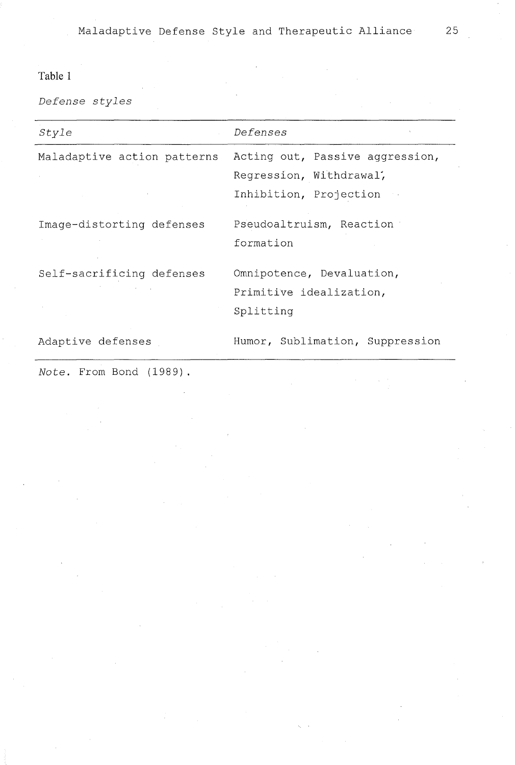# **Table 1**

*Defense styles* 

| Style                                     | Defenses                        |  |  |  |  |
|-------------------------------------------|---------------------------------|--|--|--|--|
| Maladaptive action patterns               | Acting out, Passive aggression, |  |  |  |  |
|                                           | Regression, Withdrawal,         |  |  |  |  |
|                                           | Inhibition, Projection          |  |  |  |  |
| Image-distorting defenses                 | Pseudoaltruism, Reaction        |  |  |  |  |
|                                           | formation                       |  |  |  |  |
| Self-sacrificing defenses                 | Omnipotence, Devaluation,       |  |  |  |  |
| the control of the control of the control | Primitive idealization,         |  |  |  |  |
|                                           | Splitting                       |  |  |  |  |
| Adaptive defenses                         | Humor, Sublimation, Suppression |  |  |  |  |

*Note.* From Bond (1989)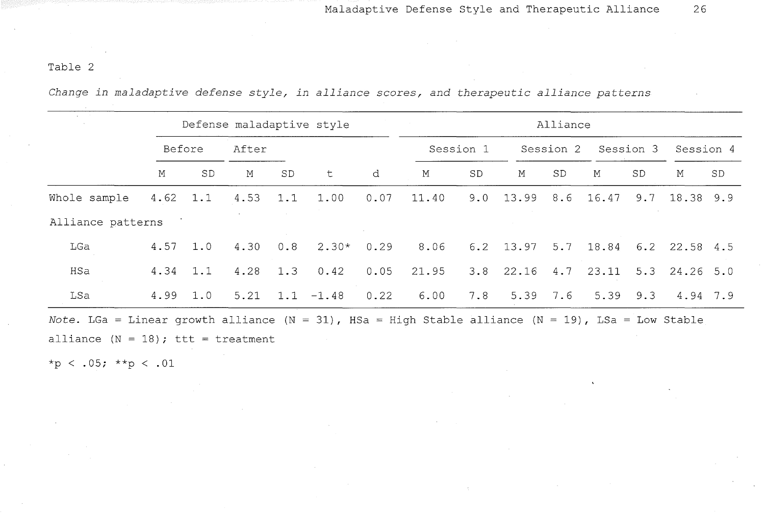# Table 2

*Change in maladaptive defense style, in alliance scores, and therapeutic alliance patterns* 

|                                                                                                    |             | Defense maladaptive style |            |     |                             |      | Alliance  |     |                                   |    |                     |     |                 |           |
|----------------------------------------------------------------------------------------------------|-------------|---------------------------|------------|-----|-----------------------------|------|-----------|-----|-----------------------------------|----|---------------------|-----|-----------------|-----------|
|                                                                                                    | Before      |                           | After      |     |                             |      | Session 1 |     | Session 2                         |    | Session 3           |     | Session 4       |           |
|                                                                                                    | $\mathbf M$ | SD.                       | M          | SD  | t                           | d    | М         | SD  | М                                 | SD | М                   | SD  | Μ               | <b>SD</b> |
| Whole sample                                                                                       | $4.62$ 1.1  |                           | $4.53$ 1.1 |     | 1.00                        | 0.07 | 11.40     | 9.0 | 13.99                             |    | 8.6 16.47           |     | $9.7$ 18.38 9.9 |           |
| Alliance patterns                                                                                  |             |                           |            |     |                             |      |           |     |                                   |    |                     |     |                 |           |
| LGa                                                                                                | $4.57$ 1.0  |                           | 4.30       | 0.8 | $2.30*$                     | 0.29 | 8.06      |     | 6.2 13.97 5.7 18.84 6.2 22.58 4.5 |    |                     |     |                 |           |
| HSa                                                                                                | 4.34        | 1.1                       | 4.28       | 1.3 | 0.42                        | 0.05 | 21.95     |     | $3.8$ 22.16 4.7 23.11             |    |                     |     | $5.3$ 24.26 5.0 |           |
| LSa                                                                                                | $4.99$ 1.0  |                           |            |     | $5.21$ $1.1$ $-1.48$ $0.22$ |      | 6.00      | 7.8 |                                   |    | $5.39$ $7.6$ $5.39$ | 9.3 | 4.94 7.9        |           |
| Note. LGa = Linear growth alliance (N = 31), HSa = High Stable alliance (N = 19), LSa = Low Stable |             |                           |            |     |                             |      |           |     |                                   |    |                     |     |                 |           |
| alliance $(N = 18)$ ; ttt = treatment                                                              |             |                           |            |     |                             |      |           |     |                                   |    |                     |     |                 |           |

 $*_{p}$  < .05;  $*_{p}$  < .01